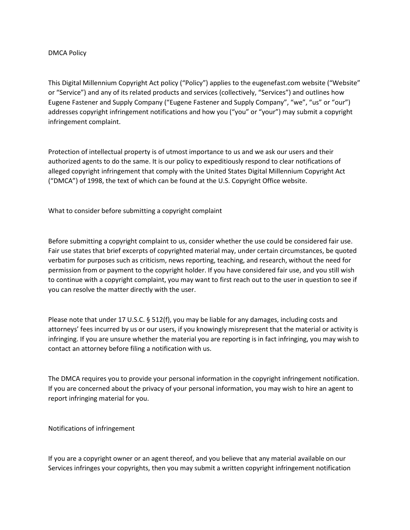## DMCA Policy

This Digital Millennium Copyright Act policy ("Policy") applies to the eugenefast.com website ("Website" or "Service") and any of its related products and services (collectively, "Services") and outlines how Eugene Fastener and Supply Company ("Eugene Fastener and Supply Company", "we", "us" or "our") addresses copyright infringement notifications and how you ("you" or "your") may submit a copyright infringement complaint.

Protection of intellectual property is of utmost importance to us and we ask our users and their authorized agents to do the same. It is our policy to expeditiously respond to clear notifications of alleged copyright infringement that comply with the United States Digital Millennium Copyright Act ("DMCA") of 1998, the text of which can be found at the U.S. Copyright Office website.

What to consider before submitting a copyright complaint

Before submitting a copyright complaint to us, consider whether the use could be considered fair use. Fair use states that brief excerpts of copyrighted material may, under certain circumstances, be quoted verbatim for purposes such as criticism, news reporting, teaching, and research, without the need for permission from or payment to the copyright holder. If you have considered fair use, and you still wish to continue with a copyright complaint, you may want to first reach out to the user in question to see if you can resolve the matter directly with the user.

Please note that under 17 U.S.C. § 512(f), you may be liable for any damages, including costs and attorneys' fees incurred by us or our users, if you knowingly misrepresent that the material or activity is infringing. If you are unsure whether the material you are reporting is in fact infringing, you may wish to contact an attorney before filing a notification with us.

The DMCA requires you to provide your personal information in the copyright infringement notification. If you are concerned about the privacy of your personal information, you may wish to hire an agent to report infringing material for you.

Notifications of infringement

If you are a copyright owner or an agent thereof, and you believe that any material available on our Services infringes your copyrights, then you may submit a written copyright infringement notification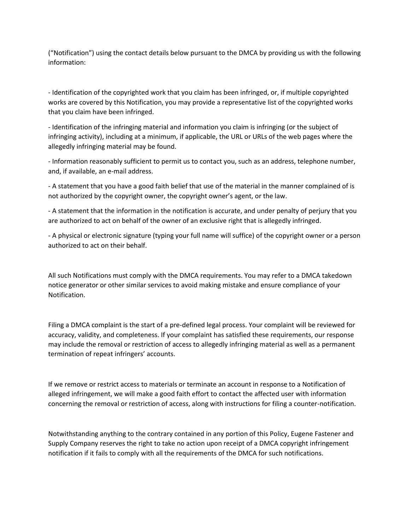("Notification") using the contact details below pursuant to the DMCA by providing us with the following information:

- Identification of the copyrighted work that you claim has been infringed, or, if multiple copyrighted works are covered by this Notification, you may provide a representative list of the copyrighted works that you claim have been infringed.

- Identification of the infringing material and information you claim is infringing (or the subject of infringing activity), including at a minimum, if applicable, the URL or URLs of the web pages where the allegedly infringing material may be found.

- Information reasonably sufficient to permit us to contact you, such as an address, telephone number, and, if available, an e-mail address.

- A statement that you have a good faith belief that use of the material in the manner complained of is not authorized by the copyright owner, the copyright owner's agent, or the law.

- A statement that the information in the notification is accurate, and under penalty of perjury that you are authorized to act on behalf of the owner of an exclusive right that is allegedly infringed.

- A physical or electronic signature (typing your full name will suffice) of the copyright owner or a person authorized to act on their behalf.

All such Notifications must comply with the DMCA requirements. You may refer to a DMCA takedown notice generator or other similar services to avoid making mistake and ensure compliance of your Notification.

Filing a DMCA complaint is the start of a pre-defined legal process. Your complaint will be reviewed for accuracy, validity, and completeness. If your complaint has satisfied these requirements, our response may include the removal or restriction of access to allegedly infringing material as well as a permanent termination of repeat infringers' accounts.

If we remove or restrict access to materials or terminate an account in response to a Notification of alleged infringement, we will make a good faith effort to contact the affected user with information concerning the removal or restriction of access, along with instructions for filing a counter-notification.

Notwithstanding anything to the contrary contained in any portion of this Policy, Eugene Fastener and Supply Company reserves the right to take no action upon receipt of a DMCA copyright infringement notification if it fails to comply with all the requirements of the DMCA for such notifications.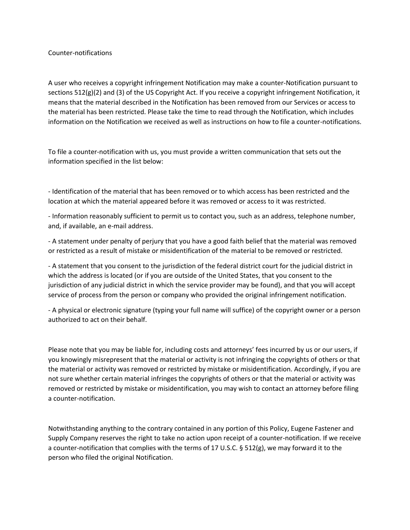## Counter-notifications

A user who receives a copyright infringement Notification may make a counter-Notification pursuant to sections 512(g)(2) and (3) of the US Copyright Act. If you receive a copyright infringement Notification, it means that the material described in the Notification has been removed from our Services or access to the material has been restricted. Please take the time to read through the Notification, which includes information on the Notification we received as well as instructions on how to file a counter-notifications.

To file a counter-notification with us, you must provide a written communication that sets out the information specified in the list below:

- Identification of the material that has been removed or to which access has been restricted and the location at which the material appeared before it was removed or access to it was restricted.

- Information reasonably sufficient to permit us to contact you, such as an address, telephone number, and, if available, an e-mail address.

- A statement under penalty of perjury that you have a good faith belief that the material was removed or restricted as a result of mistake or misidentification of the material to be removed or restricted.

- A statement that you consent to the jurisdiction of the federal district court for the judicial district in which the address is located (or if you are outside of the United States, that you consent to the jurisdiction of any judicial district in which the service provider may be found), and that you will accept service of process from the person or company who provided the original infringement notification.

- A physical or electronic signature (typing your full name will suffice) of the copyright owner or a person authorized to act on their behalf.

Please note that you may be liable for, including costs and attorneys' fees incurred by us or our users, if you knowingly misrepresent that the material or activity is not infringing the copyrights of others or that the material or activity was removed or restricted by mistake or misidentification. Accordingly, if you are not sure whether certain material infringes the copyrights of others or that the material or activity was removed or restricted by mistake or misidentification, you may wish to contact an attorney before filing a counter-notification.

Notwithstanding anything to the contrary contained in any portion of this Policy, Eugene Fastener and Supply Company reserves the right to take no action upon receipt of a counter-notification. If we receive a counter-notification that complies with the terms of 17 U.S.C. § 512(g), we may forward it to the person who filed the original Notification.